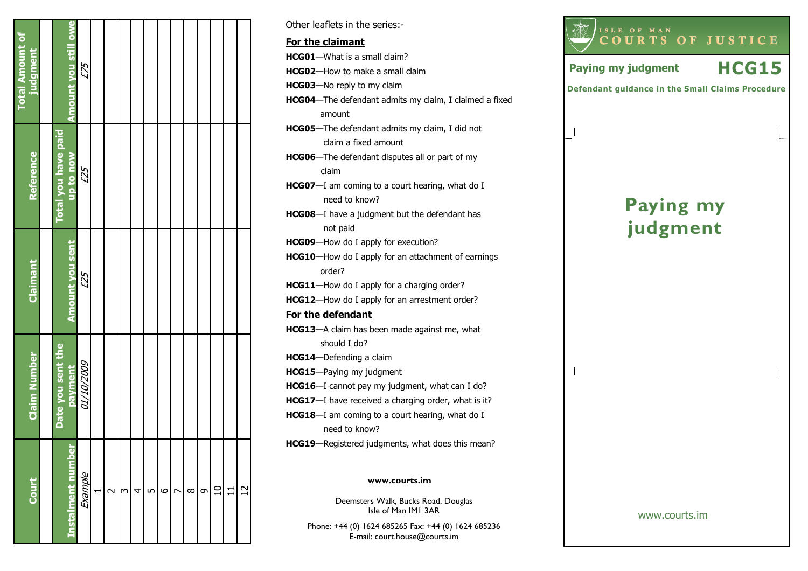| <b>Total Amount of</b><br>judgment |                            | Amount you still owe | £75        |        |                |   |   |         |                |          |         |  |
|------------------------------------|----------------------------|----------------------|------------|--------|----------------|---|---|---------|----------------|----------|---------|--|
| <b>Reference</b>                   | <b>Total you have paid</b> | <b>up to now</b>     | £25        |        |                |   |   |         |                |          |         |  |
| Claimant                           |                            | Amount you sent      | £25        |        |                |   |   |         |                |          |         |  |
| <b>Claim Number</b>                | Date you sent the          | payment              | 6002/01/10 |        |                |   |   |         |                |          |         |  |
| Court                              |                            | instalment number    | Example    | $\sim$ | $\mathfrak{g}$ | 4 | L | $\circ$ | $\overline{ }$ | $\infty$ | $\circ$ |  |

Deemsters Walk, Bucks Road, Douglas www.courts.im Other leaflets in the series:- For the claimantHCG01—What is a small claim? HCG02—How to make a small claim HCG03—No reply to my claim HCG04—The defendant admits my claim, I claimed a fixed amount HCG05—The defendant admits my claim, I did not claim a fixed amount HCG06—The defendant disputes all or part of my claim HCG07-I am coming to a court hearing, what do I need to know? HCG08—I have a judgment but the defendant has not paid HCG09-How do I apply for execution? HCG10—How do I apply for an attachment of earnings order? HCG11-How do I apply for a charging order? HCG12—How do I apply for an arrestment order? For the defendantHCG13—A claim has been made against me, what should I do? HCG14—Defending a claim HCG15—Paying my judgment HCG16—I cannot pay my judgment, what can I do? HCG17-I have received a charging order, what is it? **HCG18**—I am coming to a court hearing, what do I need to know? HCG19—Registered judgments, what does this mean?



Isle of Man IM1 3AR

Phone: +44 (0) 1624 685265 Fax: +44 (0) 1624 685236E-mail: court.house@courts.im

www.courts.im